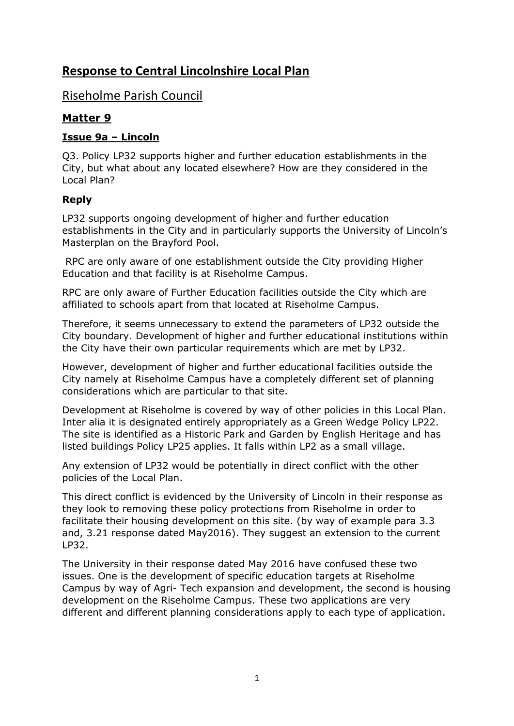# **Response to Central Lincolnshire Local Plan**

## Riseholme Parish Council

### **Matter 9**

#### **Issue 9a – Lincoln**

Q3. Policy LP32 supports higher and further education establishments in the City, but what about any located elsewhere? How are they considered in the Local Plan?

#### **Reply**

LP32 supports ongoing development of higher and further education establishments in the City and in particularly supports the University of Lincoln's Masterplan on the Brayford Pool.

RPC are only aware of one establishment outside the City providing Higher Education and that facility is at Riseholme Campus.

RPC are only aware of Further Education facilities outside the City which are affiliated to schools apart from that located at Riseholme Campus.

Therefore, it seems unnecessary to extend the parameters of LP32 outside the City boundary. Development of higher and further educational institutions within the City have their own particular requirements which are met by LP32.

However, development of higher and further educational facilities outside the City namely at Riseholme Campus have a completely different set of planning considerations which are particular to that site.

Development at Riseholme is covered by way of other policies in this Local Plan. Inter alia it is designated entirely appropriately as a Green Wedge Policy LP22. The site is identified as a Historic Park and Garden by English Heritage and has listed buildings Policy LP25 applies. It falls within LP2 as a small village.

Any extension of LP32 would be potentially in direct conflict with the other policies of the Local Plan.

This direct conflict is evidenced by the University of Lincoln in their response as they look to removing these policy protections from Riseholme in order to facilitate their housing development on this site. (by way of example para 3.3 and, 3.21 response dated May2016). They suggest an extension to the current LP32.

The University in their response dated May 2016 have confused these two issues. One is the development of specific education targets at Riseholme Campus by way of Agri- Tech expansion and development, the second is housing development on the Riseholme Campus. These two applications are very different and different planning considerations apply to each type of application.